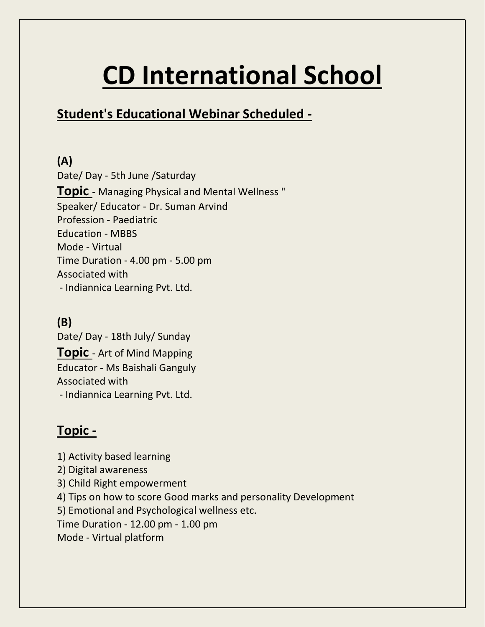# **CD International School**

## **Student's Educational Webinar Scheduled -**

**(A)** Date/ Day - 5th June /Saturday **Topic** - Managing Physical and Mental Wellness " Speaker/ Educator - Dr. Suman Arvind Profession - Paediatric Education - MBBS Mode - Virtual Time Duration - 4.00 pm - 5.00 pm Associated with - Indiannica Learning Pvt. Ltd.

#### **(B)**

Date/ Day - 18th July/ Sunday **Topic** - Art of Mind Mapping Educator - Ms Baishali Ganguly Associated with - Indiannica Learning Pvt. Ltd.

#### **Topic -**

1) Activity based learning 2) Digital awareness 3) Child Right empowerment 4) Tips on how to score Good marks and personality Development 5) Emotional and Psychological wellness etc. Time Duration - 12.00 pm - 1.00 pm Mode - Virtual platform